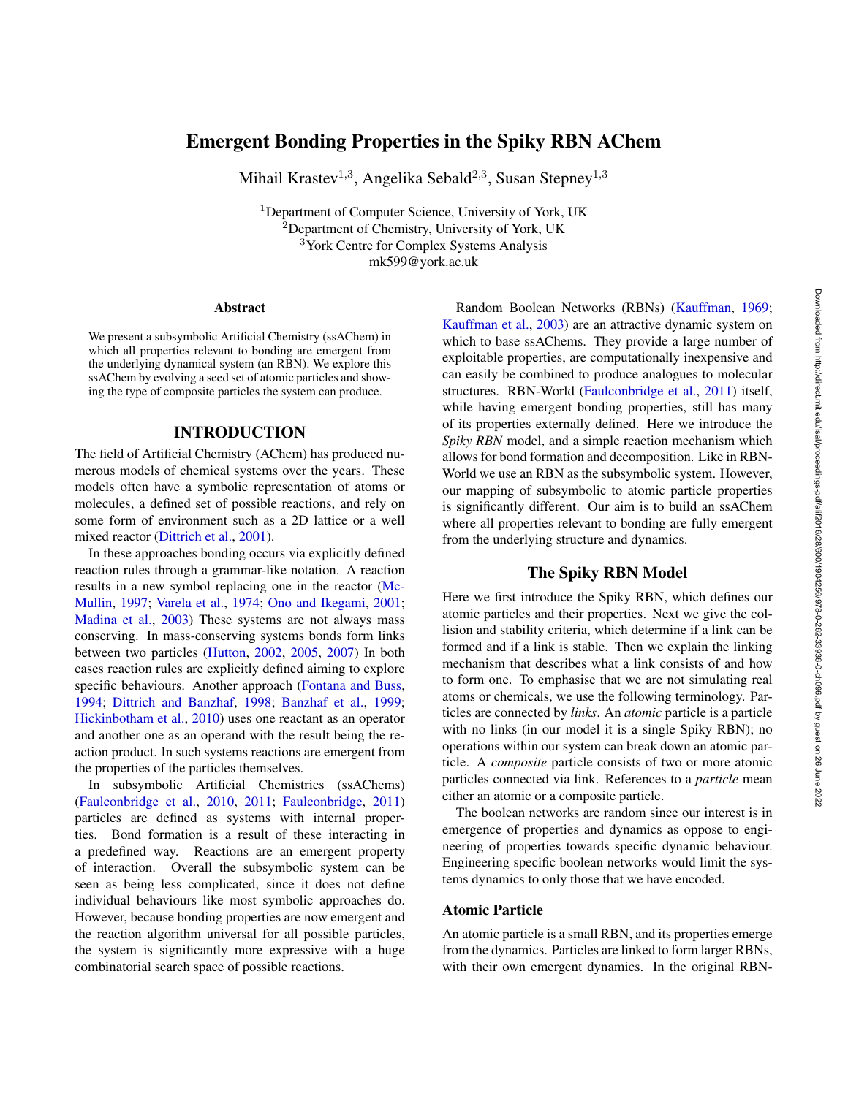# Emergent Bonding Properties in the Spiky RBN AChem

Mihail Krastev $^{1,3}$ , Angelika Sebald $^{2,3}$ , Susan Stepney $^{1,3}$ 

<sup>1</sup>Department of Computer Science, University of York, UK  ${}^{2}$ Department of Chemistry, University of York, UK <sup>3</sup>York Centre for Complex Systems Analysis mk599@york.ac.uk

#### **Abstract**

We present a subsymbolic Artificial Chemistry (ssAChem) in which all properties relevant to bonding are emergent from the underlying dynamical system (an RBN). We explore this ssAChem by evolving a seed set of atomic particles and showing the type of composite particles the system can produce.

## INTRODUCTION

The field of Artificial Chemistry (AChem) has produced numerous models of chemical systems over the years. These models often have a symbolic representation of atoms or molecules, a defined set of possible reactions, and rely on some form of environment such as a 2D lattice or a well mixed reactor [\(Dittrich et al.,](#page-7-0) [2001\)](#page-7-0).

In these approaches bonding occurs via explicitly defined reaction rules through a grammar-like notation. A reaction results in a new symbol replacing one in the reactor [\(Mc-](#page-7-1)[Mullin,](#page-7-1) [1997;](#page-7-1) [Varela et al.,](#page-7-2) [1974;](#page-7-2) [Ono and Ikegami,](#page-7-3) [2001;](#page-7-3) [Madina et al.,](#page-7-4) [2003\)](#page-7-4) These systems are not always mass conserving. In mass-conserving systems bonds form links between two particles [\(Hutton,](#page-7-5) [2002,](#page-7-5) [2005,](#page-7-6) [2007\)](#page-7-7) In both cases reaction rules are explicitly defined aiming to explore specific behaviours. Another approach [\(Fontana and Buss,](#page-7-8) [1994;](#page-7-8) [Dittrich and Banzhaf,](#page-7-9) [1998;](#page-7-9) [Banzhaf et al.,](#page-7-10) [1999;](#page-7-10) [Hickinbotham et al.,](#page-7-11) [2010\)](#page-7-11) uses one reactant as an operator and another one as an operand with the result being the reaction product. In such systems reactions are emergent from the properties of the particles themselves.

In subsymbolic Artificial Chemistries (ssAChems) [\(Faulconbridge et al.,](#page-7-12) [2010,](#page-7-12) [2011;](#page-7-13) [Faulconbridge,](#page-7-14) [2011\)](#page-7-14) particles are defined as systems with internal properties. Bond formation is a result of these interacting in a predefined way. Reactions are an emergent property of interaction. Overall the subsymbolic system can be seen as being less complicated, since it does not define individual behaviours like most symbolic approaches do. However, because bonding properties are now emergent and the reaction algorithm universal for all possible particles, the system is significantly more expressive with a huge combinatorial search space of possible reactions.

Random Boolean Networks (RBNs) [\(Kauffman,](#page-7-15) [1969;](#page-7-15) [Kauffman et al.,](#page-7-16) [2003\)](#page-7-16) are an attractive dynamic system on which to base ssAChems. They provide a large number of exploitable properties, are computationally inexpensive and can easily be combined to produce analogues to molecular structures. RBN-World [\(Faulconbridge et al.,](#page-7-13) [2011\)](#page-7-13) itself, while having emergent bonding properties, still has many of its properties externally defined. Here we introduce the *Spiky RBN* model, and a simple reaction mechanism which allows for bond formation and decomposition. Like in RBN-World we use an RBN as the subsymbolic system. However, our mapping of subsymbolic to atomic particle properties is significantly different. Our aim is to build an ssAChem where all properties relevant to bonding are fully emergent from the underlying structure and dynamics.

## The Spiky RBN Model

Here we first introduce the Spiky RBN, which defines our atomic particles and their properties. Next we give the collision and stability criteria, which determine if a link can be formed and if a link is stable. Then we explain the linking mechanism that describes what a link consists of and how to form one. To emphasise that we are not simulating real atoms or chemicals, we use the following terminology. Particles are connected by *links*. An *atomic* particle is a particle with no links (in our model it is a single Spiky RBN); no operations within our system can break down an atomic particle. A *composite* particle consists of two or more atomic particles connected via link. References to a *particle* mean either an atomic or a composite particle.

The boolean networks are random since our interest is in emergence of properties and dynamics as oppose to engineering of properties towards specific dynamic behaviour. Engineering specific boolean networks would limit the systems dynamics to only those that we have encoded.

### Atomic Particle

An atomic particle is a small RBN, and its properties emerge from the dynamics. Particles are linked to form larger RBNs, with their own emergent dynamics. In the original RBN-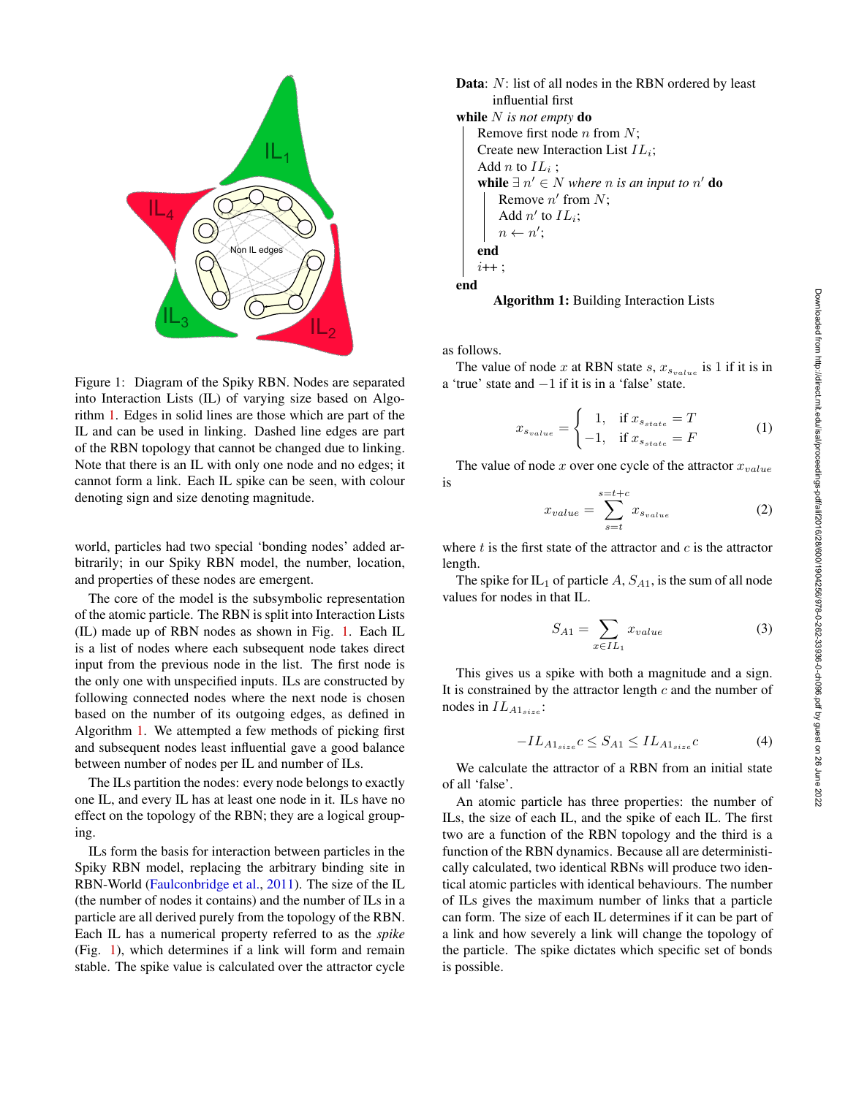

<span id="page-1-1"></span>Figure 1: Diagram of the Spiky RBN. Nodes are separated into Interaction Lists (IL) of varying size based on Algorithm [1.](#page-1-0) Edges in solid lines are those which are part of the IL and can be used in linking. Dashed line edges are part of the RBN topology that cannot be changed due to linking. Note that there is an IL with only one node and no edges; it cannot form a link. Each IL spike can be seen, with colour denoting sign and size denoting magnitude.

world, particles had two special 'bonding nodes' added arbitrarily; in our Spiky RBN model, the number, location, and properties of these nodes are emergent.

The core of the model is the subsymbolic representation of the atomic particle. The RBN is split into Interaction Lists (IL) made up of RBN nodes as shown in Fig. [1.](#page-1-1) Each IL is a list of nodes where each subsequent node takes direct input from the previous node in the list. The first node is the only one with unspecified inputs. ILs are constructed by following connected nodes where the next node is chosen based on the number of its outgoing edges, as defined in Algorithm [1.](#page-1-0) We attempted a few methods of picking first and subsequent nodes least influential gave a good balance between number of nodes per IL and number of ILs.

The ILs partition the nodes: every node belongs to exactly one IL, and every IL has at least one node in it. ILs have no effect on the topology of the RBN; they are a logical grouping.

ILs form the basis for interaction between particles in the Spiky RBN model, replacing the arbitrary binding site in RBN-World [\(Faulconbridge et al.,](#page-7-13) [2011\)](#page-7-13). The size of the IL (the number of nodes it contains) and the number of ILs in a particle are all derived purely from the topology of the RBN. Each IL has a numerical property referred to as the *spike* (Fig. [1\)](#page-1-1), which determines if a link will form and remain stable. The spike value is calculated over the attractor cycle <span id="page-1-0"></span>Data: N: list of all nodes in the RBN ordered by least influential first while N *is not empty* do Remove first node  $n$  from  $N$ ; Create new Interaction List  $IL_i$ ; Add *n* to  $IL_i$ ; **while**  $\exists n' \in N$  *where n is an input to*  $n'$  **do** Remove  $n'$  from  $N$ ; Add  $n'$  to  $IL_i$ ;  $n \leftarrow n';$ end i++ ; end



as follows.

The value of node x at RBN state s,  $x_{s_{value}}$  is 1 if it is in a 'true' state and −1 if it is in a 'false' state.

$$
x_{s_{value}} = \begin{cases} 1, & \text{if } x_{s_{state}} = T \\ -1, & \text{if } x_{s_{state}} = F \end{cases}
$$
 (1)

The value of node x over one cycle of the attractor  $x_{value}$ is

$$
x_{value} = \sum_{s=t}^{s=t+c} x_{s_{value}}
$$
 (2)

where  $t$  is the first state of the attractor and  $c$  is the attractor length.

The spike for  $IL_1$  of particle  $A$ ,  $S_{A1}$ , is the sum of all node values for nodes in that IL.

$$
S_{A1} = \sum_{x \in IL_1} x_{value} \tag{3}
$$

This gives us a spike with both a magnitude and a sign. It is constrained by the attractor length  $c$  and the number of nodes in  $IL_{A1<sub>size</sub>}$ :

$$
-IL_{A1_{size}}c \leq S_{A1} \leq IL_{A1_{size}}c \tag{4}
$$

We calculate the attractor of a RBN from an initial state of all 'false'.

An atomic particle has three properties: the number of ILs, the size of each IL, and the spike of each IL. The first two are a function of the RBN topology and the third is a function of the RBN dynamics. Because all are deterministically calculated, two identical RBNs will produce two identical atomic particles with identical behaviours. The number of ILs gives the maximum number of links that a particle can form. The size of each IL determines if it can be part of a link and how severely a link will change the topology of the particle. The spike dictates which specific set of bonds is possible.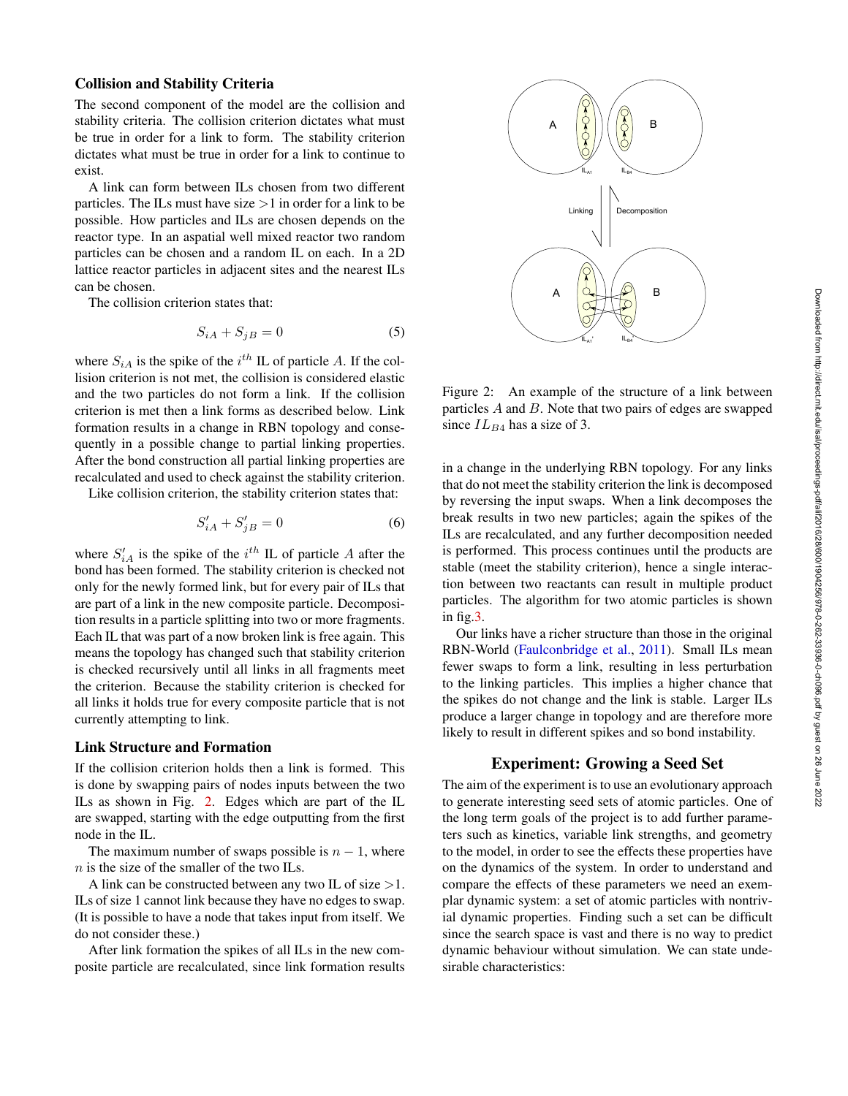## Collision and Stability Criteria

The second component of the model are the collision and stability criteria. The collision criterion dictates what must be true in order for a link to form. The stability criterion dictates what must be true in order for a link to continue to exist.

A link can form between ILs chosen from two different particles. The ILs must have size  $>1$  in order for a link to be possible. How particles and ILs are chosen depends on the reactor type. In an aspatial well mixed reactor two random particles can be chosen and a random IL on each. In a 2D lattice reactor particles in adjacent sites and the nearest ILs can be chosen.

The collision criterion states that:

$$
S_{iA} + S_{jB} = 0 \tag{5}
$$

where  $S_{iA}$  is the spike of the  $i^{th}$  IL of particle A. If the collision criterion is not met, the collision is considered elastic and the two particles do not form a link. If the collision criterion is met then a link forms as described below. Link formation results in a change in RBN topology and consequently in a possible change to partial linking properties. After the bond construction all partial linking properties are recalculated and used to check against the stability criterion.

Like collision criterion, the stability criterion states that:

$$
S'_{iA} + S'_{jB} = 0 \tag{6}
$$

where  $S'_{iA}$  is the spike of the  $i^{th}$  IL of particle A after the bond has been formed. The stability criterion is checked not only for the newly formed link, but for every pair of ILs that are part of a link in the new composite particle. Decomposition results in a particle splitting into two or more fragments. Each IL that was part of a now broken link is free again. This means the topology has changed such that stability criterion is checked recursively until all links in all fragments meet the criterion. Because the stability criterion is checked for all links it holds true for every composite particle that is not currently attempting to link.

### Link Structure and Formation

If the collision criterion holds then a link is formed. This is done by swapping pairs of nodes inputs between the two ILs as shown in Fig. [2.](#page-2-0) Edges which are part of the IL are swapped, starting with the edge outputting from the first node in the IL.

The maximum number of swaps possible is  $n - 1$ , where  $n$  is the size of the smaller of the two ILs.

A link can be constructed between any two IL of size  $>1$ . ILs of size 1 cannot link because they have no edges to swap. (It is possible to have a node that takes input from itself. We do not consider these.)

After link formation the spikes of all ILs in the new composite particle are recalculated, since link formation results



<span id="page-2-0"></span>Figure 2: An example of the structure of a link between particles A and B. Note that two pairs of edges are swapped since  $IL_{B4}$  has a size of 3.

in a change in the underlying RBN topology. For any links that do not meet the stability criterion the link is decomposed by reversing the input swaps. When a link decomposes the break results in two new particles; again the spikes of the ILs are recalculated, and any further decomposition needed is performed. This process continues until the products are stable (meet the stability criterion), hence a single interaction between two reactants can result in multiple product particles. The algorithm for two atomic particles is shown in fig[.3.](#page-3-0)

Our links have a richer structure than those in the original RBN-World [\(Faulconbridge et al.,](#page-7-13) [2011\)](#page-7-13). Small ILs mean fewer swaps to form a link, resulting in less perturbation to the linking particles. This implies a higher chance that the spikes do not change and the link is stable. Larger ILs produce a larger change in topology and are therefore more likely to result in different spikes and so bond instability.

### Experiment: Growing a Seed Set

The aim of the experiment is to use an evolutionary approach to generate interesting seed sets of atomic particles. One of the long term goals of the project is to add further parameters such as kinetics, variable link strengths, and geometry to the model, in order to see the effects these properties have on the dynamics of the system. In order to understand and compare the effects of these parameters we need an exemplar dynamic system: a set of atomic particles with nontrivial dynamic properties. Finding such a set can be difficult since the search space is vast and there is no way to predict dynamic behaviour without simulation. We can state undesirable characteristics: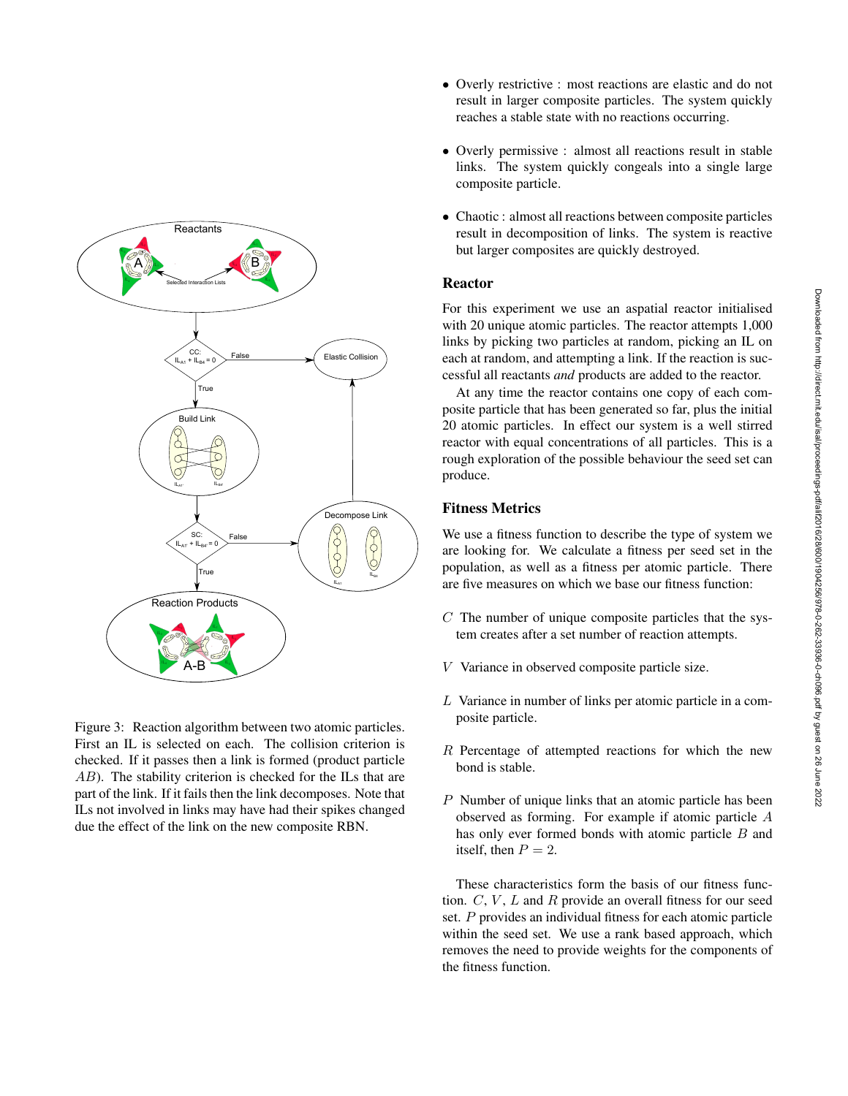

<span id="page-3-0"></span>Figure 3: Reaction algorithm between two atomic particles. First an IL is selected on each. The collision criterion is checked. If it passes then a link is formed (product particle AB). The stability criterion is checked for the ILs that are part of the link. If it fails then the link decomposes. Note that ILs not involved in links may have had their spikes changed due the effect of the link on the new composite RBN.

- Overly restrictive : most reactions are elastic and do not result in larger composite particles. The system quickly reaches a stable state with no reactions occurring.
- Overly permissive : almost all reactions result in stable links. The system quickly congeals into a single large composite particle.
- Chaotic : almost all reactions between composite particles result in decomposition of links. The system is reactive but larger composites are quickly destroyed.

## Reactor

For this experiment we use an aspatial reactor initialised with 20 unique atomic particles. The reactor attempts 1,000 links by picking two particles at random, picking an IL on each at random, and attempting a link. If the reaction is successful all reactants *and* products are added to the reactor.

At any time the reactor contains one copy of each composite particle that has been generated so far, plus the initial 20 atomic particles. In effect our system is a well stirred reactor with equal concentrations of all particles. This is a rough exploration of the possible behaviour the seed set can produce.

## Fitness Metrics

We use a fitness function to describe the type of system we are looking for. We calculate a fitness per seed set in the population, as well as a fitness per atomic particle. There are five measures on which we base our fitness function:

- $C$  The number of unique composite particles that the system creates after a set number of reaction attempts.
- V Variance in observed composite particle size.
- L Variance in number of links per atomic particle in a composite particle.
- R Percentage of attempted reactions for which the new bond is stable.
- P Number of unique links that an atomic particle has been observed as forming. For example if atomic particle A has only ever formed bonds with atomic particle B and itself, then  $P = 2$ .

These characteristics form the basis of our fitness function.  $C$ ,  $V$ ,  $L$  and  $R$  provide an overall fitness for our seed set. P provides an individual fitness for each atomic particle within the seed set. We use a rank based approach, which removes the need to provide weights for the components of the fitness function.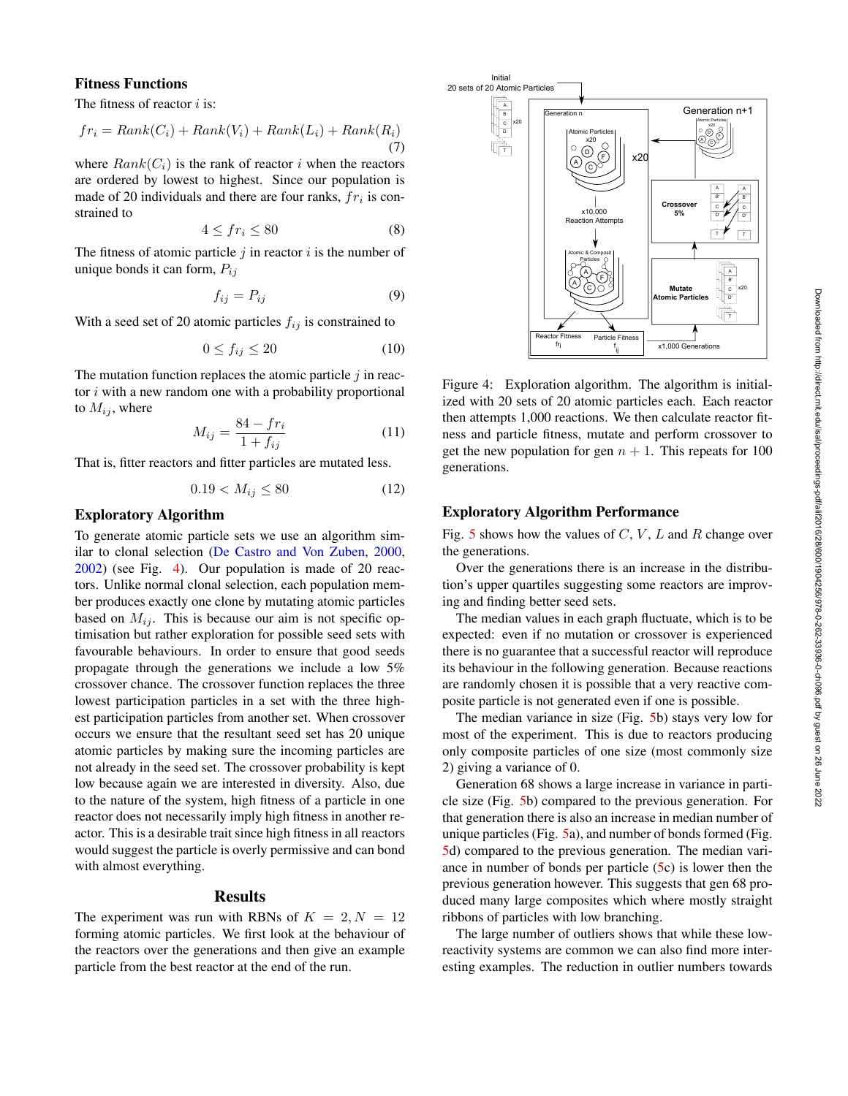## Fitness Functions

The fitness of reactor  $i$  is:

$$
fr_i = Rank(C_i) + Rank(V_i) + Rank(L_i) + Rank(R_i)
$$
\n(7)

where  $Rank(C_i)$  is the rank of reactor i when the reactors are ordered by lowest to highest. Since our population is made of 20 individuals and there are four ranks,  $fr_i$  is constrained to

$$
4 \le fr_i \le 80\tag{8}
$$

The fitness of atomic particle  $j$  in reactor  $i$  is the number of unique bonds it can form,  $P_{ij}$ 

$$
f_{ij} = P_{ij} \tag{9}
$$

With a seed set of 20 atomic particles  $f_{ij}$  is constrained to

$$
0 \le f_{ij} \le 20\tag{10}
$$

The mutation function replaces the atomic particle  $j$  in reactor  $i$  with a new random one with a probability proportional to  $M_{ij}$ , where

$$
M_{ij} = \frac{84 - fr_i}{1 + f_{ij}}\tag{11}
$$

That is, fitter reactors and fitter particles are mutated less.

$$
0.19 < M_{ij} \le 80 \tag{12}
$$

#### Exploratory Algorithm

To generate atomic particle sets we use an algorithm similar to clonal selection [\(De Castro and Von Zuben,](#page-7-17) [2000,](#page-7-17) [2002\)](#page-7-18) (see Fig. [4\)](#page-4-0). Our population is made of 20 reactors. Unlike normal clonal selection, each population member produces exactly one clone by mutating atomic particles based on  $M_{ij}$ . This is because our aim is not specific optimisation but rather exploration for possible seed sets with favourable behaviours. In order to ensure that good seeds propagate through the generations we include a low 5% crossover chance. The crossover function replaces the three lowest participation particles in a set with the three highest participation particles from another set. When crossover occurs we ensure that the resultant seed set has 20 unique atomic particles by making sure the incoming particles are not already in the seed set. The crossover probability is kept low because again we are interested in diversity. Also, due to the nature of the system, high fitness of a particle in one reactor does not necessarily imply high fitness in another reactor. This is a desirable trait since high fitness in all reactors would suggest the particle is overly permissive and can bond with almost everything.

## Results

The experiment was run with RBNs of  $K = 2, N = 12$ forming atomic particles. We first look at the behaviour of the reactors over the generations and then give an example particle from the best reactor at the end of the run.



<span id="page-4-0"></span>Figure 4: Exploration algorithm. The algorithm is initialized with 20 sets of 20 atomic particles each. Each reactor then attempts 1,000 reactions. We then calculate reactor fitness and particle fitness, mutate and perform crossover to get the new population for gen  $n + 1$ . This repeats for 100 generations.

### Exploratory Algorithm Performance

Fig. [5](#page-5-0) shows how the values of  $C, V, L$  and R change over the generations.

Over the generations there is an increase in the distribution's upper quartiles suggesting some reactors are improving and finding better seed sets.

The median values in each graph fluctuate, which is to be expected: even if no mutation or crossover is experienced there is no guarantee that a successful reactor will reproduce its behaviour in the following generation. Because reactions are randomly chosen it is possible that a very reactive composite particle is not generated even if one is possible.

The median variance in size (Fig. [5b](#page-5-0)) stays very low for most of the experiment. This is due to reactors producing only composite particles of one size (most commonly size 2) giving a variance of 0.

Generation 68 shows a large increase in variance in particle size (Fig. [5b](#page-5-0)) compared to the previous generation. For that generation there is also an increase in median number of unique particles (Fig. [5a](#page-5-0)), and number of bonds formed (Fig. [5d](#page-5-0)) compared to the previous generation. The median variance in number of bonds per particle [\(5c](#page-5-0)) is lower then the previous generation however. This suggests that gen 68 produced many large composites which where mostly straight ribbons of particles with low branching.

The large number of outliers shows that while these lowreactivity systems are common we can also find more interesting examples. The reduction in outlier numbers towards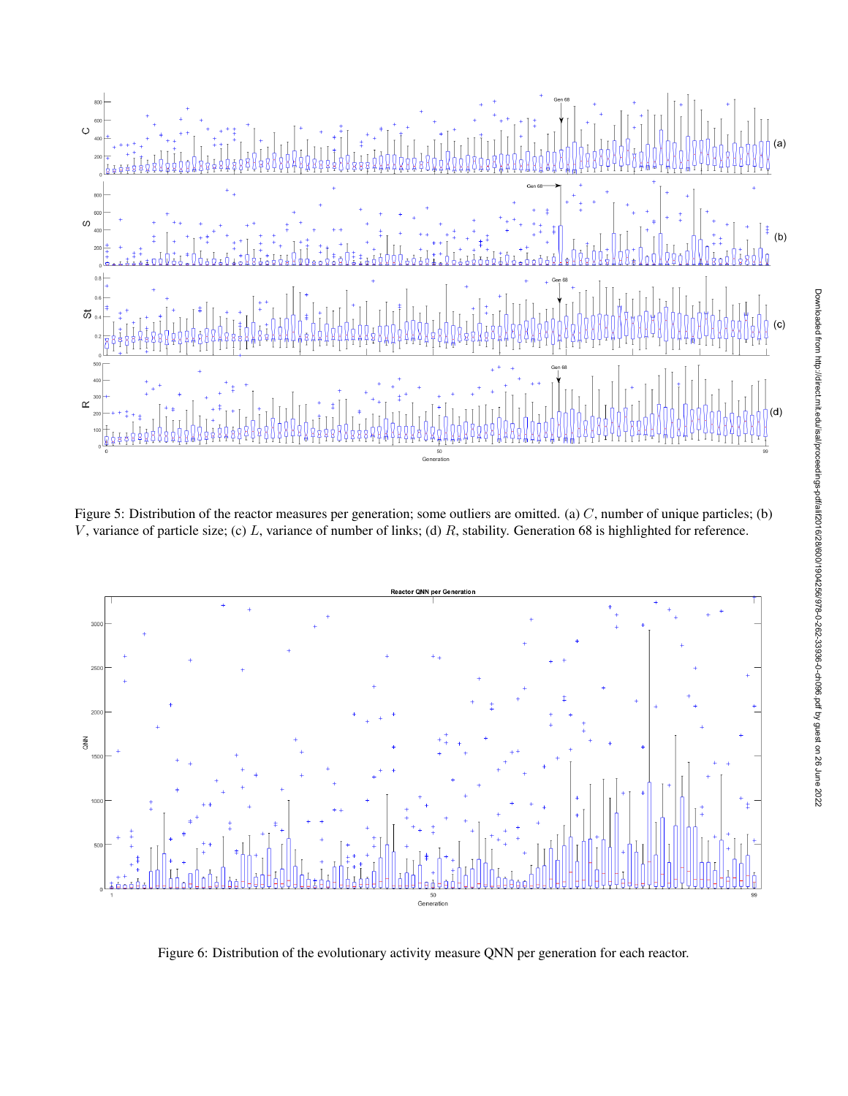

<span id="page-5-0"></span>Figure 5: Distribution of the reactor measures per generation; some outliers are omitted. (a) C, number of unique particles; (b) V, variance of particle size; (c)  $L$ , variance of number of links; (d)  $R$ , stability. Generation 68 is highlighted for reference.



<span id="page-5-1"></span>Figure 6: Distribution of the evolutionary activity measure QNN per generation for each reactor.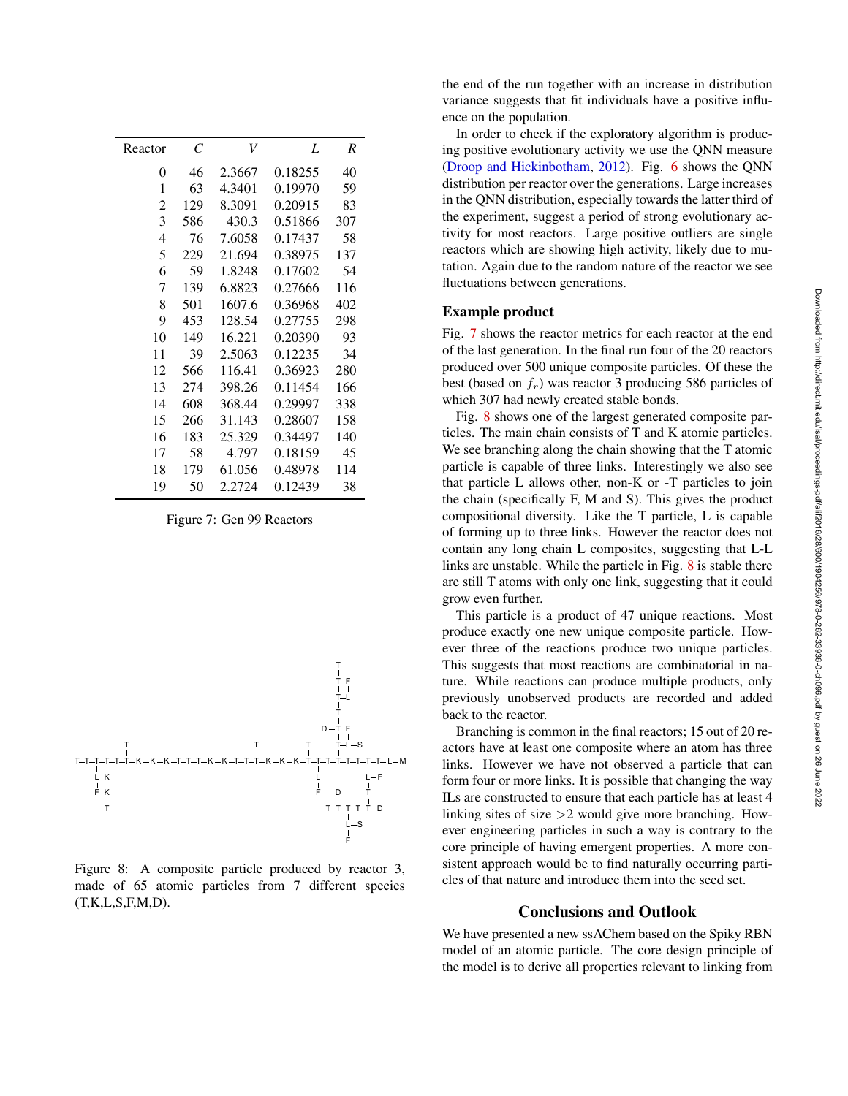| Reactor | C   | V      | L       | $\boldsymbol{R}$ |
|---------|-----|--------|---------|------------------|
| 0       | 46  | 2.3667 | 0.18255 | 40               |
| 1       | 63  | 4.3401 | 0.19970 | 59               |
| 2       | 129 | 8.3091 | 0.20915 | 83               |
| 3       | 586 | 430.3  | 0.51866 | 307              |
| 4       | 76  | 7.6058 | 0.17437 | 58               |
| 5       | 229 | 21.694 | 0.38975 | 137              |
| 6       | 59  | 1.8248 | 0.17602 | 54               |
| 7       | 139 | 6.8823 | 0.27666 | 116              |
| 8       | 501 | 1607.6 | 0.36968 | 402              |
| 9       | 453 | 128.54 | 0.27755 | 298              |
| 10      | 149 | 16.221 | 0.20390 | 93               |
| 11      | 39  | 2.5063 | 0.12235 | 34               |
| 12      | 566 | 116.41 | 0.36923 | 280              |
| 13      | 274 | 398.26 | 0.11454 | 166              |
| 14      | 608 | 368.44 | 0.29997 | 338              |
| 15      | 266 | 31.143 | 0.28607 | 158              |
| 16      | 183 | 25.329 | 0.34497 | 140              |
| 17      | 58  | 4.797  | 0.18159 | 45               |
| 18      | 179 | 61.056 | 0.48978 | 114              |
| 19      | 50  | 2.2724 | 0.12439 | 38               |

<span id="page-6-0"></span>Figure 7: Gen 99 Reactors



<span id="page-6-1"></span>Figure 8: A composite particle produced by reactor 3, made of 65 atomic particles from 7 different species (T,K,L,S,F,M,D).

the end of the run together with an increase in distribution variance suggests that fit individuals have a positive influence on the population.

In order to check if the exploratory algorithm is producing positive evolutionary activity we use the QNN measure [\(Droop and Hickinbotham,](#page-7-19) [2012\)](#page-7-19). Fig. [6](#page-5-1) shows the QNN distribution per reactor over the generations. Large increases in the QNN distribution, especially towards the latter third of the experiment, suggest a period of strong evolutionary activity for most reactors. Large positive outliers are single reactors which are showing high activity, likely due to mutation. Again due to the random nature of the reactor we see fluctuations between generations.

### Example product

Fig. [7](#page-6-0) shows the reactor metrics for each reactor at the end of the last generation. In the final run four of the 20 reactors produced over 500 unique composite particles. Of these the best (based on  $f_r$ ) was reactor 3 producing 586 particles of which 307 had newly created stable bonds.

Fig. [8](#page-6-1) shows one of the largest generated composite particles. The main chain consists of T and K atomic particles. We see branching along the chain showing that the T atomic particle is capable of three links. Interestingly we also see that particle L allows other, non-K or -T particles to join the chain (specifically F, M and S). This gives the product compositional diversity. Like the T particle, L is capable of forming up to three links. However the reactor does not contain any long chain L composites, suggesting that L-L links are unstable. While the particle in Fig. [8](#page-6-1) is stable there are still T atoms with only one link, suggesting that it could grow even further.

This particle is a product of 47 unique reactions. Most produce exactly one new unique composite particle. However three of the reactions produce two unique particles. This suggests that most reactions are combinatorial in nature. While reactions can produce multiple products, only previously unobserved products are recorded and added back to the reactor.

Branching is common in the final reactors; 15 out of 20 reactors have at least one composite where an atom has three links. However we have not observed a particle that can form four or more links. It is possible that changing the way ILs are constructed to ensure that each particle has at least 4 linking sites of size  $>2$  would give more branching. However engineering particles in such a way is contrary to the core principle of having emergent properties. A more consistent approach would be to find naturally occurring particles of that nature and introduce them into the seed set.

### Conclusions and Outlook

We have presented a new ssAChem based on the Spiky RBN model of an atomic particle. The core design principle of the model is to derive all properties relevant to linking from